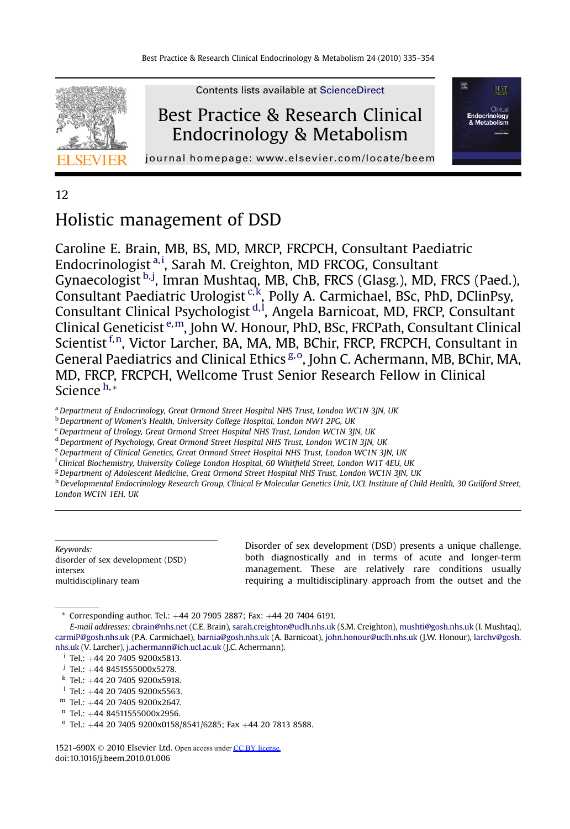

# 12

# Holistic management of DSD

Caroline E. Brain, MB, BS, MD, MRCP, FRCPCH, Consultant Paediatric Endocrinologist<sup>a,i</sup>, Sarah M. Creighton, MD FRCOG, Consultant Gynaecologist <sup>b,j</sup>, Imran Mushtaq, MB, ChB, FRCS (Glasg.), MD, FRCS (Paed.), Consultant Paediatric Urologist<sup>c,k</sup>, Polly A. Carmichael, BSc, PhD, DClinPsy, Consultant Clinical Psychologist<sup>d, 1</sup>, Angela Barnicoat, MD, FRCP, Consultant Clinical Geneticist e,m, John W. Honour, PhD, BSc, FRCPath, Consultant Clinical Scientist<sup>f,n</sup>, Victor Larcher, BA, MA, MB, BChir, FRCP, FRCPCH, Consultant in General Paediatrics and Clinical Ethics<sup>g,o</sup>, John C. Achermann, MB, BChir, MA, MD, FRCP, FRCPCH, Wellcome Trust Senior Research Fellow in Clinical Science h,\*

<sup>a</sup> Department of Endocrinology, Great Ormond Street Hospital NHS Trust, London WC1N 3JN, UK

<sup>b</sup> Department of Women's Health, University College Hospital, London NW1 2PG, UK

<sup>c</sup> Department of Urology, Great Ormond Street Hospital NHS Trust, London WC1N 3JN, UK

 $d$  Department of Psychology, Great Ormond Street Hospital NHS Trust, London WC1N 3JN, UK

e Department of Clinical Genetics, Great Ormond Street Hospital NHS Trust, London WC1N 3JN, UK

<sup>f</sup> Clinical Biochemistry, University College London Hospital, 60 Whitfield Street, London W1T 4EU, UK

<sup>g</sup> Department of Adolescent Medicine, Great Ormond Street Hospital NHS Trust, London WC1N 3JN, UK

h Developmental Endocrinology Research Group, Clinical & Molecular Genetics Unit, UCL Institute of Child Health, 30 Guilford Street, London WC1N 1EH, UK

Keywords: disorder of sex development (DSD) intersex multidisciplinary team

Disorder of sex development (DSD) presents a unique challenge, both diagnostically and in terms of acute and longer-term management. These are relatively rare conditions usually requiring a multidisciplinary approach from the outset and the

 $*$  Corresponding author. Tel.:  $+44$  20 7905 2887; Fax:  $+44$  20 7404 6191.

- m Tel.:  $+44$  20 7405 9200x2647.
- $n$  Tel.: +44 84511555000x2956.

E-mail addresses: [cbrain@nhs.net](mailto:cbrain@nhs.net) (C.E. Brain), [sarah.creighton@uclh.nhs.uk](mailto:sarah.creighton@uclh.nhs.uk) (S.M. Creighton), [mushti@gosh.nhs.uk](mailto:mushti@gosh.nhs.uk) (I. Mushtaq), [carmiP@gosh.nhs.uk](mailto:carmiP@gosh.nhs.uk) (P.A. Carmichael), [barnia@gosh.nhs.uk](mailto:barnia@gosh.nhs.uk) (A. Barnicoat), [john.honour@uclh.nhs.uk](mailto:john.honour@uclh.nhs.uk) (J.W. Honour), [larchv@gosh.](mailto:larchv@gosh.nhs.uk) [nhs.uk](mailto:larchv@gosh.nhs.uk) (V. Larcher), [j.achermann@ich.ucl.ac.uk](mailto:j.achermann@ich.ucl.ac.uk) (J.C. Achermann).

 $i$  Tel.:  $+44$  20 7405 9200x5813.

 $j$  Tel.:  $+44$  8451555000x5278.

 $k$  Tel.:  $+44$  20 7405 9200x5918.

 $^{1}$  Tel.: +44 20 7405 9200x5563.

 $^{\circ}$  Tel.: +44 20 7405 9200x0158/8541/6285; Fax +44 20 7813 8588.

<sup>1521-690</sup>X © 2010 Elsevier Ltd. Open access under [CC BY license.](http://creativecommons.org/licenses/by/3.0/) doi:10.1016/j.beem.2010.01.006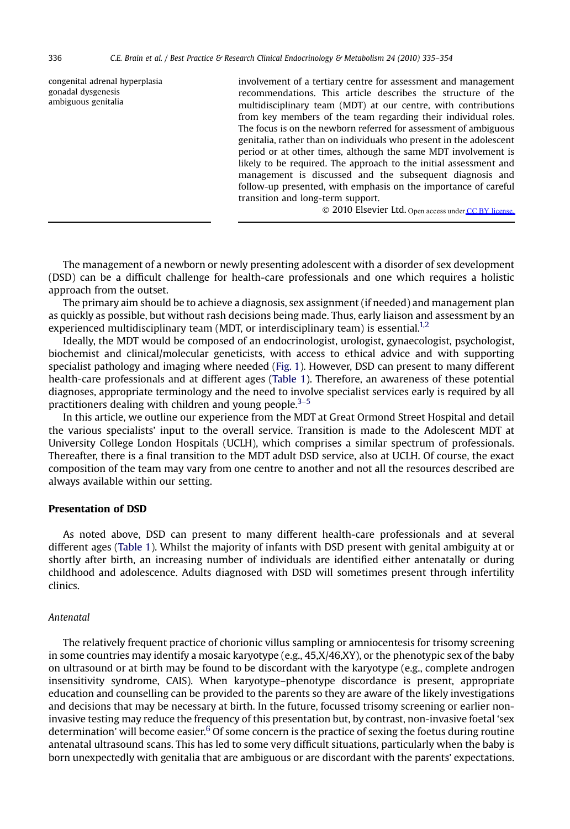congenital adrenal hyperplasia gonadal dysgenesis ambiguous genitalia

involvement of a tertiary centre for assessment and management recommendations. This article describes the structure of the multidisciplinary team (MDT) at our centre, with contributions from key members of the team regarding their individual roles. The focus is on the newborn referred for assessment of ambiguous genitalia, rather than on individuals who present in the adolescent period or at other times, although the same MDT involvement is likely to be required. The approach to the initial assessment and management is discussed and the subsequent diagnosis and follow-up presented, with emphasis on the importance of careful transition and long-term support.

© 2010 Elsevier Ltd. Open access under [CC BY license.](http://creativecommons.org/licenses/by/3.0/)

The management of a newborn or newly presenting adolescent with a disorder of sex development (DSD) can be a difficult challenge for health-care professionals and one which requires a holistic approach from the outset.

The primary aim should be to achieve a diagnosis, sex assignment (if needed) and management plan as quickly as possible, but without rash decisions being made. Thus, early liaison and assessment by an experienced multidisciplinary team (MDT, or interdisciplinary team) is essential.<sup>[1,2](#page-18-0)</sup>

Ideally, the MDT would be composed of an endocrinologist, urologist, gynaecologist, psychologist, biochemist and clinical/molecular geneticists, with access to ethical advice and with supporting specialist pathology and imaging where needed ([Fig. 1](#page-2-0)). However, DSD can present to many different health-care professionals and at different ages ([Table 1](#page-3-0)). Therefore, an awareness of these potential diagnoses, appropriate terminology and the need to involve specialist services early is required by all practitioners dealing with children and young people. $3-5$ 

In this article, we outline our experience from the MDT at Great Ormond Street Hospital and detail the various specialists' input to the overall service. Transition is made to the Adolescent MDT at University College London Hospitals (UCLH), which comprises a similar spectrum of professionals. Thereafter, there is a final transition to the MDT adult DSD service, also at UCLH. Of course, the exact composition of the team may vary from one centre to another and not all the resources described are always available within our setting.

#### Presentation of DSD

As noted above, DSD can present to many different health-care professionals and at several different ages ([Table 1](#page-3-0)). Whilst the majority of infants with DSD present with genital ambiguity at or shortly after birth, an increasing number of individuals are identified either antenatally or during childhood and adolescence. Adults diagnosed with DSD will sometimes present through infertility clinics.

#### Antenatal

The relatively frequent practice of chorionic villus sampling or amniocentesis for trisomy screening in some countries may identify a mosaic karyotype (e.g., 45,X/46,XY), or the phenotypic sex of the baby on ultrasound or at birth may be found to be discordant with the karyotype (e.g., complete androgen insensitivity syndrome, CAIS). When karyotype–phenotype discordance is present, appropriate education and counselling can be provided to the parents so they are aware of the likely investigations and decisions that may be necessary at birth. In the future, focussed trisomy screening or earlier noninvasive testing may reduce the frequency of this presentation but, by contrast, non-invasive foetal 'sex determination' will become easier.<sup>6</sup> Of some concern is the practice of sexing the foetus during routine antenatal ultrasound scans. This has led to some very difficult situations, particularly when the baby is born unexpectedly with genitalia that are ambiguous or are discordant with the parents' expectations.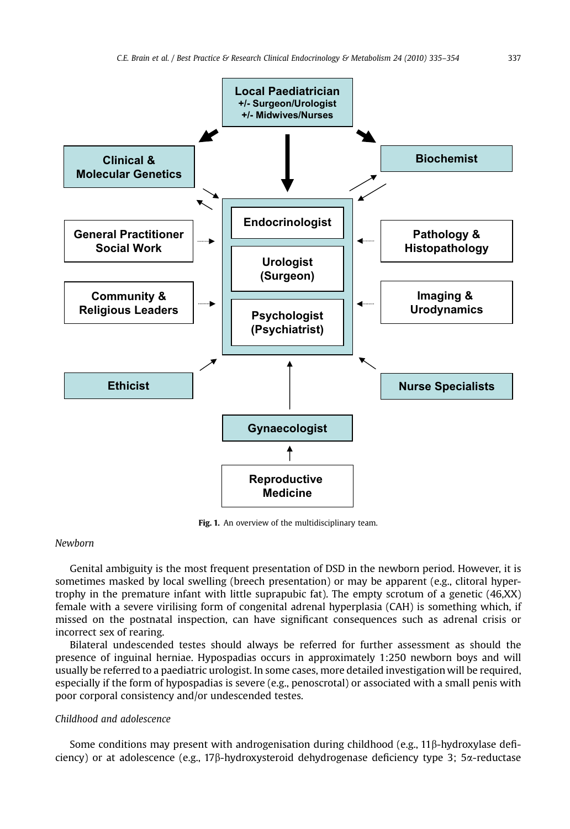<span id="page-2-0"></span>

Fig. 1. An overview of the multidisciplinary team.

#### Newborn

Genital ambiguity is the most frequent presentation of DSD in the newborn period. However, it is sometimes masked by local swelling (breech presentation) or may be apparent (e.g., clitoral hypertrophy in the premature infant with little suprapubic fat). The empty scrotum of a genetic (46,XX) female with a severe virilising form of congenital adrenal hyperplasia (CAH) is something which, if missed on the postnatal inspection, can have significant consequences such as adrenal crisis or incorrect sex of rearing.

Bilateral undescended testes should always be referred for further assessment as should the presence of inguinal herniae. Hypospadias occurs in approximately 1:250 newborn boys and will usually be referred to a paediatric urologist. In some cases, more detailed investigation will be required, especially if the form of hypospadias is severe (e.g., penoscrotal) or associated with a small penis with poor corporal consistency and/or undescended testes.

#### Childhood and adolescence

Some conditions may present with androgenisation during childhood (e.g.,  $11\beta$ -hydroxylase deficiency) or at adolescence (e.g., 17 $\beta$ -hydroxysteroid dehydrogenase deficiency type 3; 5 $\alpha$ -reductase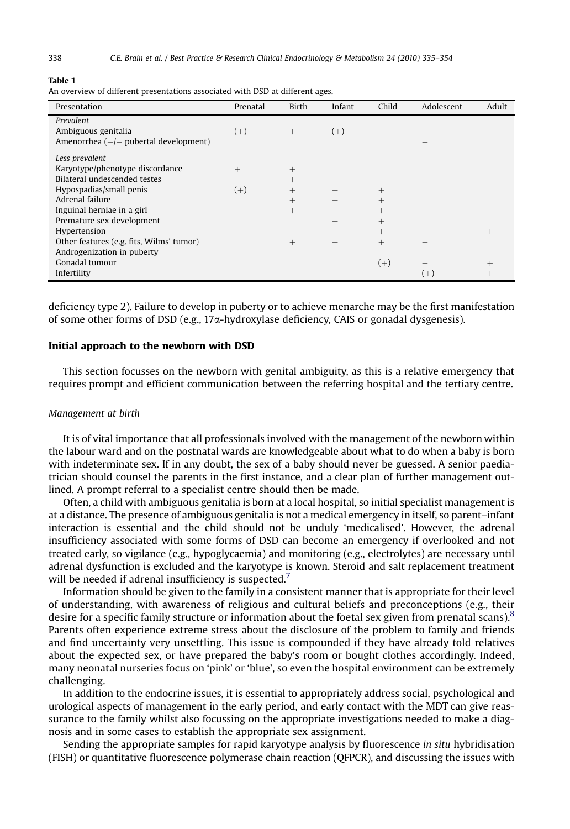| Presentation                             | Prenatal | Birth  | Infant | Child  | Adolescent | Adult  |
|------------------------------------------|----------|--------|--------|--------|------------|--------|
| Prevalent                                |          |        |        |        |            |        |
| Ambiguous genitalia                      | $(+)$    | $^{+}$ | $(+)$  |        |            |        |
| Amenorrhea $(+/-$ pubertal development)  |          |        |        |        | $^{+}$     |        |
| Less prevalent                           |          |        |        |        |            |        |
| Karyotype/phenotype discordance          | $^{+}$   | $^{+}$ |        |        |            |        |
| Bilateral undescended testes             |          | $^{+}$ | $^{+}$ |        |            |        |
| Hypospadias/small penis                  | $^{(+)}$ | $^{+}$ | $^{+}$ | $^{+}$ |            |        |
| Adrenal failure                          |          | $^{+}$ | $^{+}$ | $^{+}$ |            |        |
| Inguinal herniae in a girl               |          | $^{+}$ | $^{+}$ | $^{+}$ |            |        |
| Premature sex development                |          |        | $^{+}$ | $^{+}$ |            |        |
| Hypertension                             |          |        | $^{+}$ | $^{+}$ | $^{+}$     | $^{+}$ |
| Other features (e.g. fits, Wilms' tumor) |          | $^{+}$ | $+$    | $^{+}$ | $^{+}$     |        |
| Androgenization in puberty               |          |        |        |        | $^{+}$     |        |
| Gonadal tumour                           |          |        |        | $(+)$  | $^+$       | $^{+}$ |
| Infertility                              |          |        |        |        | $(+)$      |        |

#### <span id="page-3-0"></span>Table 1

An overview of different presentations associated with DSD at different ages.

deficiency type 2). Failure to develop in puberty or to achieve menarche may be the first manifestation of some other forms of DSD (e.g., 17a-hydroxylase deficiency, CAIS or gonadal dysgenesis).

#### Initial approach to the newborn with DSD

This section focusses on the newborn with genital ambiguity, as this is a relative emergency that requires prompt and efficient communication between the referring hospital and the tertiary centre.

#### Management at birth

It is of vital importance that all professionals involved with the management of the newborn within the labour ward and on the postnatal wards are knowledgeable about what to do when a baby is born with indeterminate sex. If in any doubt, the sex of a baby should never be guessed. A senior paediatrician should counsel the parents in the first instance, and a clear plan of further management outlined. A prompt referral to a specialist centre should then be made.

Often, a child with ambiguous genitalia is born at a local hospital, so initial specialist management is at a distance. The presence of ambiguous genitalia is not a medical emergency in itself, so parent–infant interaction is essential and the child should not be unduly 'medicalised'. However, the adrenal insufficiency associated with some forms of DSD can become an emergency if overlooked and not treated early, so vigilance (e.g., hypoglycaemia) and monitoring (e.g., electrolytes) are necessary until adrenal dysfunction is excluded and the karyotype is known. Steroid and salt replacement treatment will be needed if adrenal insufficiency is suspected.<sup>[7](#page-18-0)</sup>

Information should be given to the family in a consistent manner that is appropriate for their level of understanding, with awareness of religious and cultural beliefs and preconceptions (e.g., their desire for a specific family structure or information about the foetal sex given from prenatal scans).<sup>[8](#page-18-0)</sup> Parents often experience extreme stress about the disclosure of the problem to family and friends and find uncertainty very unsettling. This issue is compounded if they have already told relatives about the expected sex, or have prepared the baby's room or bought clothes accordingly. Indeed, many neonatal nurseries focus on 'pink' or 'blue', so even the hospital environment can be extremely challenging.

In addition to the endocrine issues, it is essential to appropriately address social, psychological and urological aspects of management in the early period, and early contact with the MDT can give reassurance to the family whilst also focussing on the appropriate investigations needed to make a diagnosis and in some cases to establish the appropriate sex assignment.

Sending the appropriate samples for rapid karyotype analysis by fluorescence in situ hybridisation (FISH) or quantitative fluorescence polymerase chain reaction (QFPCR), and discussing the issues with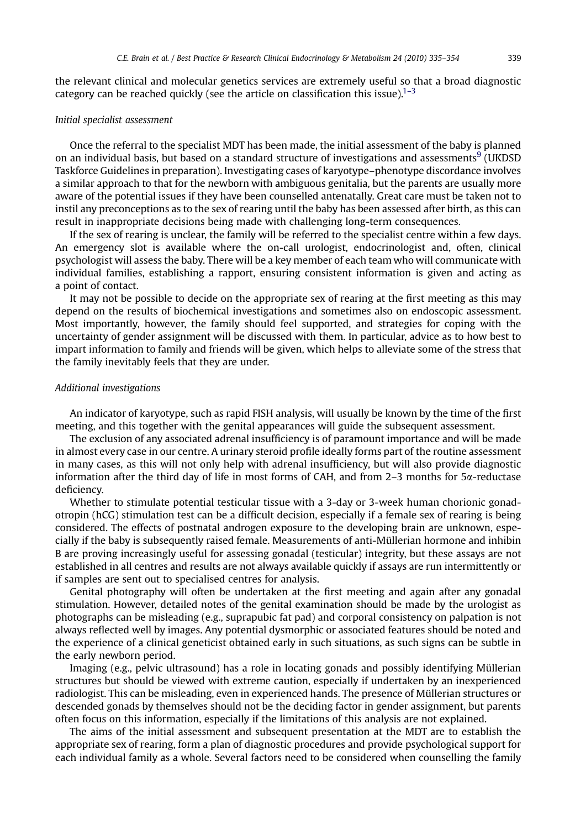the relevant clinical and molecular genetics services are extremely useful so that a broad diagnostic category can be reached quickly (see the article on classification this issue).<sup>1-3</sup>

#### Initial specialist assessment

Once the referral to the specialist MDT has been made, the initial assessment of the baby is planned on an individual basis, but based on a standard structure of investigations and assessments<sup>[9](#page-18-0)</sup> (UKDSD Taskforce Guidelines in preparation). Investigating cases of karyotype–phenotype discordance involves a similar approach to that for the newborn with ambiguous genitalia, but the parents are usually more aware of the potential issues if they have been counselled antenatally. Great care must be taken not to instil any preconceptions as to the sex of rearing until the baby has been assessed after birth, as this can result in inappropriate decisions being made with challenging long-term consequences.

If the sex of rearing is unclear, the family will be referred to the specialist centre within a few days. An emergency slot is available where the on-call urologist, endocrinologist and, often, clinical psychologist will assess the baby. There will be a key member of each team who will communicate with individual families, establishing a rapport, ensuring consistent information is given and acting as a point of contact.

It may not be possible to decide on the appropriate sex of rearing at the first meeting as this may depend on the results of biochemical investigations and sometimes also on endoscopic assessment. Most importantly, however, the family should feel supported, and strategies for coping with the uncertainty of gender assignment will be discussed with them. In particular, advice as to how best to impart information to family and friends will be given, which helps to alleviate some of the stress that the family inevitably feels that they are under.

#### Additional investigations

An indicator of karyotype, such as rapid FISH analysis, will usually be known by the time of the first meeting, and this together with the genital appearances will guide the subsequent assessment.

The exclusion of any associated adrenal insufficiency is of paramount importance and will be made in almost every case in our centre. A urinary steroid profile ideally forms part of the routine assessment in many cases, as this will not only help with adrenal insufficiency, but will also provide diagnostic information after the third day of life in most forms of CAH, and from 2–3 months for 5a-reductase deficiency.

Whether to stimulate potential testicular tissue with a 3-day or 3-week human chorionic gonadotropin (hCG) stimulation test can be a difficult decision, especially if a female sex of rearing is being considered. The effects of postnatal androgen exposure to the developing brain are unknown, especially if the baby is subsequently raised female. Measurements of anti-Müllerian hormone and inhibin B are proving increasingly useful for assessing gonadal (testicular) integrity, but these assays are not established in all centres and results are not always available quickly if assays are run intermittently or if samples are sent out to specialised centres for analysis.

Genital photography will often be undertaken at the first meeting and again after any gonadal stimulation. However, detailed notes of the genital examination should be made by the urologist as photographs can be misleading (e.g., suprapubic fat pad) and corporal consistency on palpation is not always reflected well by images. Any potential dysmorphic or associated features should be noted and the experience of a clinical geneticist obtained early in such situations, as such signs can be subtle in the early newborn period.

Imaging (e.g., pelvic ultrasound) has a role in locating gonads and possibly identifying Müllerian structures but should be viewed with extreme caution, especially if undertaken by an inexperienced radiologist. This can be misleading, even in experienced hands. The presence of Müllerian structures or descended gonads by themselves should not be the deciding factor in gender assignment, but parents often focus on this information, especially if the limitations of this analysis are not explained.

The aims of the initial assessment and subsequent presentation at the MDT are to establish the appropriate sex of rearing, form a plan of diagnostic procedures and provide psychological support for each individual family as a whole. Several factors need to be considered when counselling the family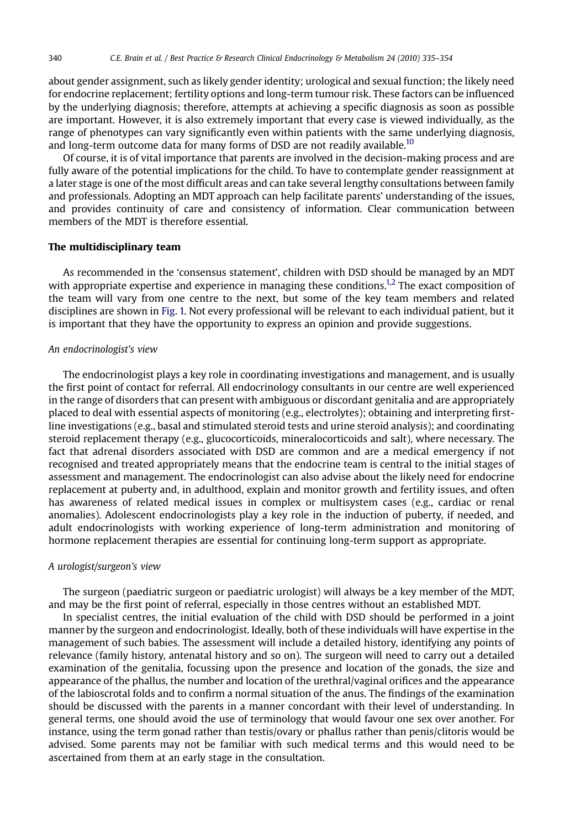about gender assignment, such as likely gender identity; urological and sexual function; the likely need for endocrine replacement; fertility options and long-term tumour risk. These factors can be influenced by the underlying diagnosis; therefore, attempts at achieving a specific diagnosis as soon as possible are important. However, it is also extremely important that every case is viewed individually, as the range of phenotypes can vary significantly even within patients with the same underlying diagnosis, and long-term outcome data for many forms of DSD are not readily available.<sup>[10](#page-18-0)</sup>

Of course, it is of vital importance that parents are involved in the decision-making process and are fully aware of the potential implications for the child. To have to contemplate gender reassignment at a later stage is one of the most difficult areas and can take several lengthy consultations between family and professionals. Adopting an MDT approach can help facilitate parents' understanding of the issues, and provides continuity of care and consistency of information. Clear communication between members of the MDT is therefore essential.

#### The multidisciplinary team

As recommended in the 'consensus statement', children with DSD should be managed by an MDT with appropriate expertise and experience in managing these conditions.<sup>1,2</sup> The exact composition of the team will vary from one centre to the next, but some of the key team members and related disciplines are shown in [Fig. 1.](#page-2-0) Not every professional will be relevant to each individual patient, but it is important that they have the opportunity to express an opinion and provide suggestions.

#### An endocrinologist's view

The endocrinologist plays a key role in coordinating investigations and management, and is usually the first point of contact for referral. All endocrinology consultants in our centre are well experienced in the range of disorders that can present with ambiguous or discordant genitalia and are appropriately placed to deal with essential aspects of monitoring (e.g., electrolytes); obtaining and interpreting firstline investigations (e.g., basal and stimulated steroid tests and urine steroid analysis); and coordinating steroid replacement therapy (e.g., glucocorticoids, mineralocorticoids and salt), where necessary. The fact that adrenal disorders associated with DSD are common and are a medical emergency if not recognised and treated appropriately means that the endocrine team is central to the initial stages of assessment and management. The endocrinologist can also advise about the likely need for endocrine replacement at puberty and, in adulthood, explain and monitor growth and fertility issues, and often has awareness of related medical issues in complex or multisystem cases (e.g., cardiac or renal anomalies). Adolescent endocrinologists play a key role in the induction of puberty, if needed, and adult endocrinologists with working experience of long-term administration and monitoring of hormone replacement therapies are essential for continuing long-term support as appropriate.

#### A urologist/surgeon's view

The surgeon (paediatric surgeon or paediatric urologist) will always be a key member of the MDT, and may be the first point of referral, especially in those centres without an established MDT.

In specialist centres, the initial evaluation of the child with DSD should be performed in a joint manner by the surgeon and endocrinologist. Ideally, both of these individuals will have expertise in the management of such babies. The assessment will include a detailed history, identifying any points of relevance (family history, antenatal history and so on). The surgeon will need to carry out a detailed examination of the genitalia, focussing upon the presence and location of the gonads, the size and appearance of the phallus, the number and location of the urethral/vaginal orifices and the appearance of the labioscrotal folds and to confirm a normal situation of the anus. The findings of the examination should be discussed with the parents in a manner concordant with their level of understanding. In general terms, one should avoid the use of terminology that would favour one sex over another. For instance, using the term gonad rather than testis/ovary or phallus rather than penis/clitoris would be advised. Some parents may not be familiar with such medical terms and this would need to be ascertained from them at an early stage in the consultation.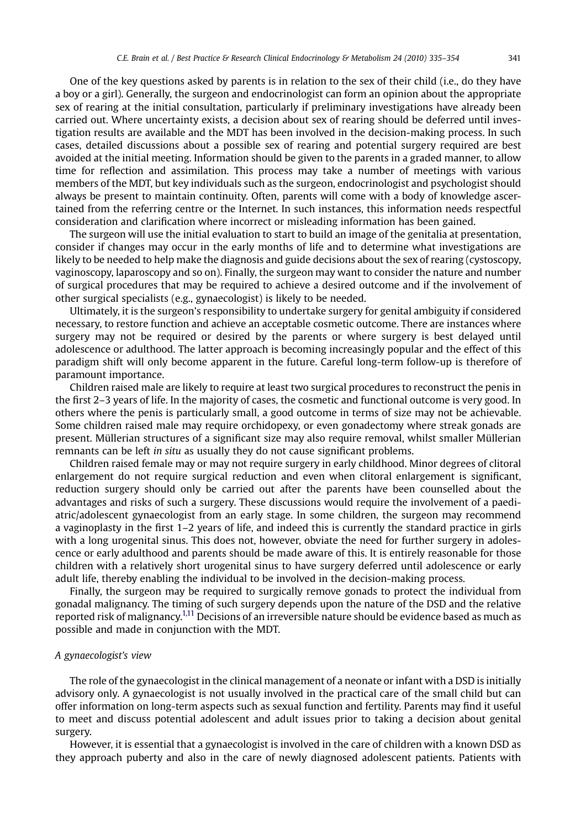One of the key questions asked by parents is in relation to the sex of their child (i.e., do they have a boy or a girl). Generally, the surgeon and endocrinologist can form an opinion about the appropriate sex of rearing at the initial consultation, particularly if preliminary investigations have already been carried out. Where uncertainty exists, a decision about sex of rearing should be deferred until investigation results are available and the MDT has been involved in the decision-making process. In such cases, detailed discussions about a possible sex of rearing and potential surgery required are best avoided at the initial meeting. Information should be given to the parents in a graded manner, to allow time for reflection and assimilation. This process may take a number of meetings with various members of the MDT, but key individuals such as the surgeon, endocrinologist and psychologist should always be present to maintain continuity. Often, parents will come with a body of knowledge ascertained from the referring centre or the Internet. In such instances, this information needs respectful consideration and clarification where incorrect or misleading information has been gained.

The surgeon will use the initial evaluation to start to build an image of the genitalia at presentation, consider if changes may occur in the early months of life and to determine what investigations are likely to be needed to help make the diagnosis and guide decisions about the sex of rearing (cystoscopy, vaginoscopy, laparoscopy and so on). Finally, the surgeon may want to consider the nature and number of surgical procedures that may be required to achieve a desired outcome and if the involvement of other surgical specialists (e.g., gynaecologist) is likely to be needed.

Ultimately, it is the surgeon's responsibility to undertake surgery for genital ambiguity if considered necessary, to restore function and achieve an acceptable cosmetic outcome. There are instances where surgery may not be required or desired by the parents or where surgery is best delayed until adolescence or adulthood. The latter approach is becoming increasingly popular and the effect of this paradigm shift will only become apparent in the future. Careful long-term follow-up is therefore of paramount importance.

Children raised male are likely to require at least two surgical procedures to reconstruct the penis in the first 2–3 years of life. In the majority of cases, the cosmetic and functional outcome is very good. In others where the penis is particularly small, a good outcome in terms of size may not be achievable. Some children raised male may require orchidopexy, or even gonadectomy where streak gonads are present. Müllerian structures of a significant size may also require removal, whilst smaller Müllerian remnants can be left in situ as usually they do not cause significant problems.

Children raised female may or may not require surgery in early childhood. Minor degrees of clitoral enlargement do not require surgical reduction and even when clitoral enlargement is significant, reduction surgery should only be carried out after the parents have been counselled about the advantages and risks of such a surgery. These discussions would require the involvement of a paediatric/adolescent gynaecologist from an early stage. In some children, the surgeon may recommend a vaginoplasty in the first 1–2 years of life, and indeed this is currently the standard practice in girls with a long urogenital sinus. This does not, however, obviate the need for further surgery in adolescence or early adulthood and parents should be made aware of this. It is entirely reasonable for those children with a relatively short urogenital sinus to have surgery deferred until adolescence or early adult life, thereby enabling the individual to be involved in the decision-making process.

Finally, the surgeon may be required to surgically remove gonads to protect the individual from gonadal malignancy. The timing of such surgery depends upon the nature of the DSD and the relative reported risk of malignancy.[1,11](#page-18-0) Decisions of an irreversible nature should be evidence based as much as possible and made in conjunction with the MDT.

#### A gynaecologist's view

The role of the gynaecologist in the clinical management of a neonate or infant with a DSD is initially advisory only. A gynaecologist is not usually involved in the practical care of the small child but can offer information on long-term aspects such as sexual function and fertility. Parents may find it useful to meet and discuss potential adolescent and adult issues prior to taking a decision about genital surgery.

However, it is essential that a gynaecologist is involved in the care of children with a known DSD as they approach puberty and also in the care of newly diagnosed adolescent patients. Patients with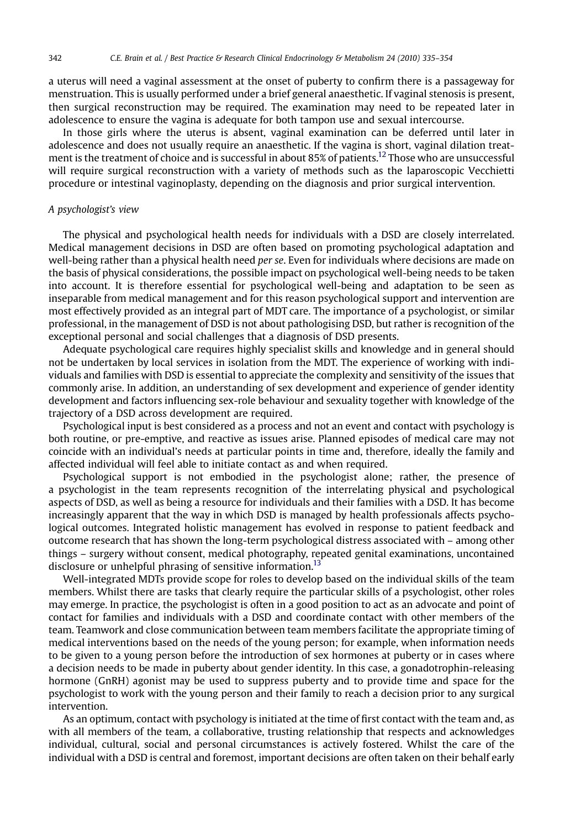a uterus will need a vaginal assessment at the onset of puberty to confirm there is a passageway for menstruation. This is usually performed under a brief general anaesthetic. If vaginal stenosis is present, then surgical reconstruction may be required. The examination may need to be repeated later in adolescence to ensure the vagina is adequate for both tampon use and sexual intercourse.

In those girls where the uterus is absent, vaginal examination can be deferred until later in adolescence and does not usually require an anaesthetic. If the vagina is short, vaginal dilation treat-ment is the treatment of choice and is successful in about 85% of patients.<sup>[12](#page-18-0)</sup> Those who are unsuccessful will require surgical reconstruction with a variety of methods such as the laparoscopic Vecchietti procedure or intestinal vaginoplasty, depending on the diagnosis and prior surgical intervention.

#### A psychologist's view

The physical and psychological health needs for individuals with a DSD are closely interrelated. Medical management decisions in DSD are often based on promoting psychological adaptation and well-being rather than a physical health need per se. Even for individuals where decisions are made on the basis of physical considerations, the possible impact on psychological well-being needs to be taken into account. It is therefore essential for psychological well-being and adaptation to be seen as inseparable from medical management and for this reason psychological support and intervention are most effectively provided as an integral part of MDT care. The importance of a psychologist, or similar professional, in the management of DSD is not about pathologising DSD, but rather is recognition of the exceptional personal and social challenges that a diagnosis of DSD presents.

Adequate psychological care requires highly specialist skills and knowledge and in general should not be undertaken by local services in isolation from the MDT. The experience of working with individuals and families with DSD is essential to appreciate the complexity and sensitivity of the issues that commonly arise. In addition, an understanding of sex development and experience of gender identity development and factors influencing sex-role behaviour and sexuality together with knowledge of the trajectory of a DSD across development are required.

Psychological input is best considered as a process and not an event and contact with psychology is both routine, or pre-emptive, and reactive as issues arise. Planned episodes of medical care may not coincide with an individual's needs at particular points in time and, therefore, ideally the family and affected individual will feel able to initiate contact as and when required.

Psychological support is not embodied in the psychologist alone; rather, the presence of a psychologist in the team represents recognition of the interrelating physical and psychological aspects of DSD, as well as being a resource for individuals and their families with a DSD. It has become increasingly apparent that the way in which DSD is managed by health professionals affects psychological outcomes. Integrated holistic management has evolved in response to patient feedback and outcome research that has shown the long-term psychological distress associated with – among other things – surgery without consent, medical photography, repeated genital examinations, uncontained disclosure or unhelpful phrasing of sensitive information.<sup>13</sup>

Well-integrated MDTs provide scope for roles to develop based on the individual skills of the team members. Whilst there are tasks that clearly require the particular skills of a psychologist, other roles may emerge. In practice, the psychologist is often in a good position to act as an advocate and point of contact for families and individuals with a DSD and coordinate contact with other members of the team. Teamwork and close communication between team members facilitate the appropriate timing of medical interventions based on the needs of the young person; for example, when information needs to be given to a young person before the introduction of sex hormones at puberty or in cases where a decision needs to be made in puberty about gender identity. In this case, a gonadotrophin-releasing hormone (GnRH) agonist may be used to suppress puberty and to provide time and space for the psychologist to work with the young person and their family to reach a decision prior to any surgical intervention.

As an optimum, contact with psychology is initiated at the time of first contact with the team and, as with all members of the team, a collaborative, trusting relationship that respects and acknowledges individual, cultural, social and personal circumstances is actively fostered. Whilst the care of the individual with a DSD is central and foremost, important decisions are often taken on their behalf early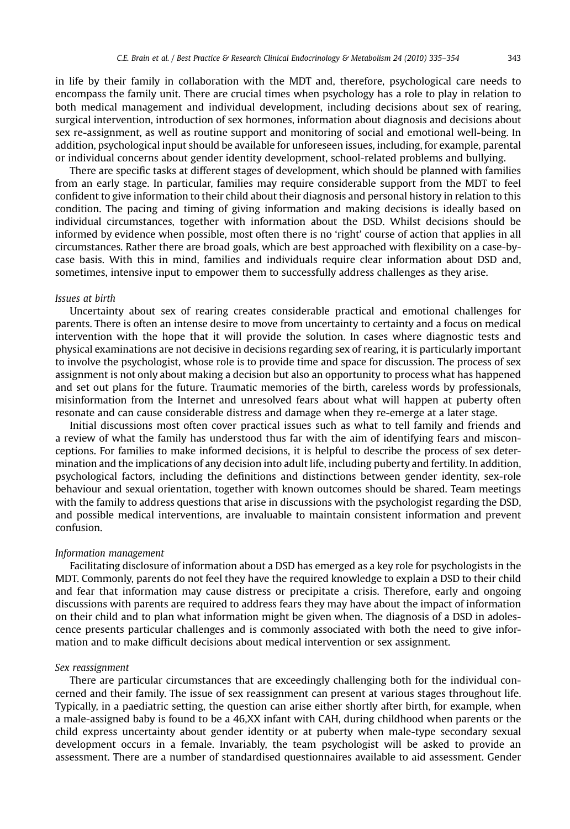in life by their family in collaboration with the MDT and, therefore, psychological care needs to encompass the family unit. There are crucial times when psychology has a role to play in relation to both medical management and individual development, including decisions about sex of rearing, surgical intervention, introduction of sex hormones, information about diagnosis and decisions about sex re-assignment, as well as routine support and monitoring of social and emotional well-being. In addition, psychological input should be available for unforeseen issues, including, for example, parental or individual concerns about gender identity development, school-related problems and bullying.

There are specific tasks at different stages of development, which should be planned with families from an early stage. In particular, families may require considerable support from the MDT to feel confident to give information to their child about their diagnosis and personal history in relation to this condition. The pacing and timing of giving information and making decisions is ideally based on individual circumstances, together with information about the DSD. Whilst decisions should be informed by evidence when possible, most often there is no 'right' course of action that applies in all circumstances. Rather there are broad goals, which are best approached with flexibility on a case-bycase basis. With this in mind, families and individuals require clear information about DSD and, sometimes, intensive input to empower them to successfully address challenges as they arise.

#### Issues at birth

Uncertainty about sex of rearing creates considerable practical and emotional challenges for parents. There is often an intense desire to move from uncertainty to certainty and a focus on medical intervention with the hope that it will provide the solution. In cases where diagnostic tests and physical examinations are not decisive in decisions regarding sex of rearing, it is particularly important to involve the psychologist, whose role is to provide time and space for discussion. The process of sex assignment is not only about making a decision but also an opportunity to process what has happened and set out plans for the future. Traumatic memories of the birth, careless words by professionals, misinformation from the Internet and unresolved fears about what will happen at puberty often resonate and can cause considerable distress and damage when they re-emerge at a later stage.

Initial discussions most often cover practical issues such as what to tell family and friends and a review of what the family has understood thus far with the aim of identifying fears and misconceptions. For families to make informed decisions, it is helpful to describe the process of sex determination and the implications of any decision into adult life, including puberty and fertility. In addition, psychological factors, including the definitions and distinctions between gender identity, sex-role behaviour and sexual orientation, together with known outcomes should be shared. Team meetings with the family to address questions that arise in discussions with the psychologist regarding the DSD, and possible medical interventions, are invaluable to maintain consistent information and prevent confusion.

#### Information management

Facilitating disclosure of information about a DSD has emerged as a key role for psychologists in the MDT. Commonly, parents do not feel they have the required knowledge to explain a DSD to their child and fear that information may cause distress or precipitate a crisis. Therefore, early and ongoing discussions with parents are required to address fears they may have about the impact of information on their child and to plan what information might be given when. The diagnosis of a DSD in adolescence presents particular challenges and is commonly associated with both the need to give information and to make difficult decisions about medical intervention or sex assignment.

#### Sex reassignment

There are particular circumstances that are exceedingly challenging both for the individual concerned and their family. The issue of sex reassignment can present at various stages throughout life. Typically, in a paediatric setting, the question can arise either shortly after birth, for example, when a male-assigned baby is found to be a 46,XX infant with CAH, during childhood when parents or the child express uncertainty about gender identity or at puberty when male-type secondary sexual development occurs in a female. Invariably, the team psychologist will be asked to provide an assessment. There are a number of standardised questionnaires available to aid assessment. Gender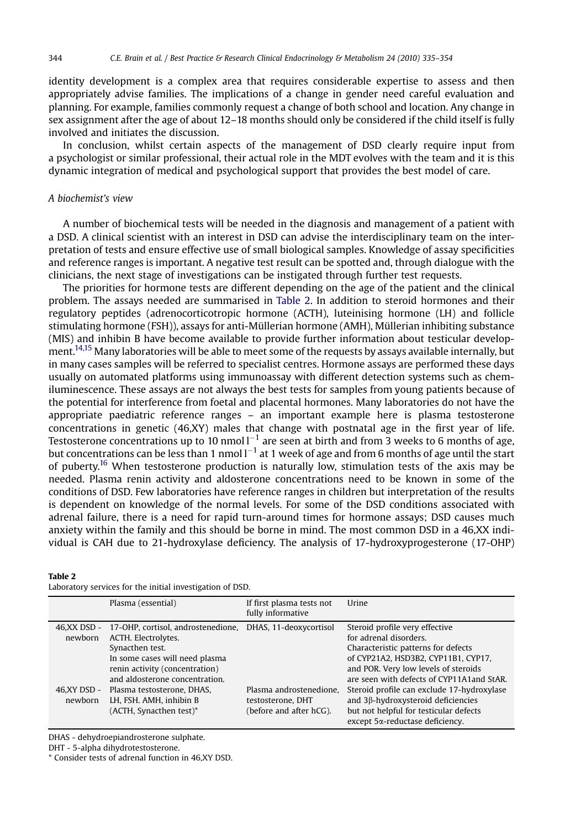<span id="page-9-0"></span>identity development is a complex area that requires considerable expertise to assess and then appropriately advise families. The implications of a change in gender need careful evaluation and planning. For example, families commonly request a change of both school and location. Any change in sex assignment after the age of about 12–18 months should only be considered if the child itself is fully involved and initiates the discussion.

In conclusion, whilst certain aspects of the management of DSD clearly require input from a psychologist or similar professional, their actual role in the MDT evolves with the team and it is this dynamic integration of medical and psychological support that provides the best model of care.

#### A biochemist's view

A number of biochemical tests will be needed in the diagnosis and management of a patient with a DSD. A clinical scientist with an interest in DSD can advise the interdisciplinary team on the interpretation of tests and ensure effective use of small biological samples. Knowledge of assay specificities and reference ranges is important. A negative test result can be spotted and, through dialogue with the clinicians, the next stage of investigations can be instigated through further test requests.

The priorities for hormone tests are different depending on the age of the patient and the clinical problem. The assays needed are summarised in Table 2. In addition to steroid hormones and their regulatory peptides (adrenocorticotropic hormone (ACTH), luteinising hormone (LH) and follicle stimulating hormone (FSH)), assays for anti-Müllerian hormone (AMH), Müllerian inhibiting substance (MIS) and inhibin B have become available to provide further information about testicular develop-ment.<sup>[14,15](#page-18-0)</sup> Many laboratories will be able to meet some of the requests by assays available internally, but in many cases samples will be referred to specialist centres. Hormone assays are performed these days usually on automated platforms using immunoassay with different detection systems such as chemiluminescence. These assays are not always the best tests for samples from young patients because of the potential for interference from foetal and placental hormones. Many laboratories do not have the appropriate paediatric reference ranges – an important example here is plasma testosterone concentrations in genetic (46,XY) males that change with postnatal age in the first year of life. Testosterone concentrations up to 10 nmol l $^{-1}$  are seen at birth and from 3 weeks to 6 months of age, but concentrations can be less than 1 nmol l $^{-1}$  at 1 week of age and from 6 months of age until the start of puberty.<sup>16</sup> When testosterone production is naturally low, stimulation tests of the axis may be needed. Plasma renin activity and aldosterone concentrations need to be known in some of the conditions of DSD. Few laboratories have reference ranges in children but interpretation of the results is dependent on knowledge of the normal levels. For some of the DSD conditions associated with adrenal failure, there is a need for rapid turn-around times for hormone assays; DSD causes much anxiety within the family and this should be borne in mind. The most common DSD in a 46,XX individual is CAH due to 21-hydroxylase deficiency. The analysis of 17-hydroxyprogesterone (17-OHP)

|                        | Plasma (essential)                                                                                                                                                                                        | If first plasma tests not<br>fully informative                          | Urine                                                                                                                                                                                                                        |
|------------------------|-----------------------------------------------------------------------------------------------------------------------------------------------------------------------------------------------------------|-------------------------------------------------------------------------|------------------------------------------------------------------------------------------------------------------------------------------------------------------------------------------------------------------------------|
| 46.XX DSD -<br>newborn | 17-OHP, cortisol, androstenedione, DHAS, 11-deoxycortisol<br>ACTH, Electrolytes.<br>Synacthen test.<br>In some cases will need plasma<br>renin activity (concentration)<br>and aldosterone concentration. |                                                                         | Steroid profile very effective<br>for adrenal disorders.<br>Characteristic patterns for defects<br>of CYP21A2, HSD3B2, CYP11B1, CYP17,<br>and POR. Very low levels of steroids<br>are seen with defects of CYP11A1 and StAR. |
| 46.XY DSD -<br>newborn | Plasma testosterone, DHAS,<br>LH, FSH, AMH, inhibin B<br>(ACTH, Synacthen test)*                                                                                                                          | Plasma androstenedione.<br>testosterone. DHT<br>(before and after hCG). | Steroid profile can exclude 17-hydroxylase<br>and 3β-hydroxysteroid deficiencies<br>but not helpful for testicular defects<br>except 5α-reductase deficiency.                                                                |

Table 2 Laboratory services for the initial investigation of DSD.

DHAS - dehydroepiandrosterone sulphate.

DHT - 5-alpha dihydrotestosterone.

\* Consider tests of adrenal function in 46,XY DSD.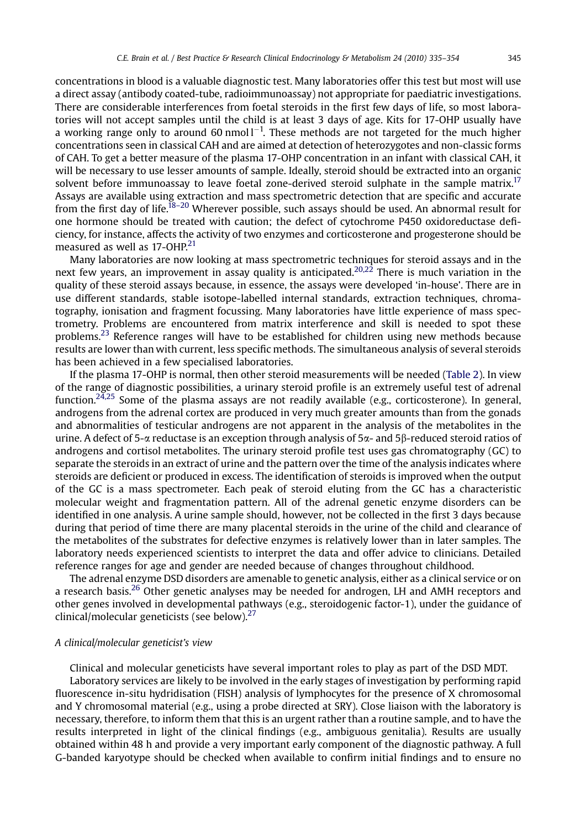concentrations in blood is a valuable diagnostic test. Many laboratories offer this test but most will use a direct assay (antibody coated-tube, radioimmunoassay) not appropriate for paediatric investigations. There are considerable interferences from foetal steroids in the first few days of life, so most laboratories will not accept samples until the child is at least 3 days of age. Kits for 17-OHP usually have a working range only to around 60 nmol  $I^{-1}$ . These methods are not targeted for the much higher concentrations seen in classical CAH and are aimed at detection of heterozygotes and non-classic forms of CAH. To get a better measure of the plasma 17-OHP concentration in an infant with classical CAH, it will be necessary to use lesser amounts of sample. Ideally, steroid should be extracted into an organic solvent before immunoassay to leave foetal zone-derived steroid sulphate in the sample matrix.<sup>[17](#page-18-0)</sup> Assays are available using extraction and mass spectrometric detection that are specific and accurate from the first day of life.<sup>18–20</sup> Wherever possible, such assays should be used. An abnormal result for one hormone should be treated with caution; the defect of cytochrome P450 oxidoreductase deficiency, for instance, affects the activity of two enzymes and corticosterone and progesterone should be measured as well as 17-OHP.<sup>[21](#page-18-0)</sup>

Many laboratories are now looking at mass spectrometric techniques for steroid assays and in the next few years, an improvement in assay quality is anticipated.<sup>[20,22](#page-18-0)</sup> There is much variation in the quality of these steroid assays because, in essence, the assays were developed 'in-house'. There are in use different standards, stable isotope-labelled internal standards, extraction techniques, chromatography, ionisation and fragment focussing. Many laboratories have little experience of mass spectrometry. Problems are encountered from matrix interference and skill is needed to spot these problems.[23](#page-18-0) Reference ranges will have to be established for children using new methods because results are lower than with current, less specific methods. The simultaneous analysis of several steroids has been achieved in a few specialised laboratories.

If the plasma 17-OHP is normal, then other steroid measurements will be needed ([Table 2](#page-9-0)). In view of the range of diagnostic possibilities, a urinary steroid profile is an extremely useful test of adrenal function.<sup>[24,25](#page-18-0)</sup> Some of the plasma assays are not readily available (e.g., corticosterone). In general, androgens from the adrenal cortex are produced in very much greater amounts than from the gonads and abnormalities of testicular androgens are not apparent in the analysis of the metabolites in the urine. A defect of 5- $\alpha$  reductase is an exception through analysis of 5 $\alpha$ - and 5 $\beta$ -reduced steroid ratios of androgens and cortisol metabolites. The urinary steroid profile test uses gas chromatography (GC) to separate the steroids in an extract of urine and the pattern over the time of the analysis indicates where steroids are deficient or produced in excess. The identification of steroids is improved when the output of the GC is a mass spectrometer. Each peak of steroid eluting from the GC has a characteristic molecular weight and fragmentation pattern. All of the adrenal genetic enzyme disorders can be identified in one analysis. A urine sample should, however, not be collected in the first 3 days because during that period of time there are many placental steroids in the urine of the child and clearance of the metabolites of the substrates for defective enzymes is relatively lower than in later samples. The laboratory needs experienced scientists to interpret the data and offer advice to clinicians. Detailed reference ranges for age and gender are needed because of changes throughout childhood.

The adrenal enzyme DSD disorders are amenable to genetic analysis, either as a clinical service or on a research basis.<sup>[26](#page-18-0)</sup> Other genetic analyses may be needed for androgen, LH and AMH receptors and other genes involved in developmental pathways (e.g., steroidogenic factor-1), under the guidance of clinical/molecular geneticists (see below). $27$ 

#### A clinical/molecular geneticist's view

Clinical and molecular geneticists have several important roles to play as part of the DSD MDT.

Laboratory services are likely to be involved in the early stages of investigation by performing rapid fluorescence in-situ hydridisation (FISH) analysis of lymphocytes for the presence of X chromosomal and Y chromosomal material (e.g., using a probe directed at SRY). Close liaison with the laboratory is necessary, therefore, to inform them that this is an urgent rather than a routine sample, and to have the results interpreted in light of the clinical findings (e.g., ambiguous genitalia). Results are usually obtained within 48 h and provide a very important early component of the diagnostic pathway. A full G-banded karyotype should be checked when available to confirm initial findings and to ensure no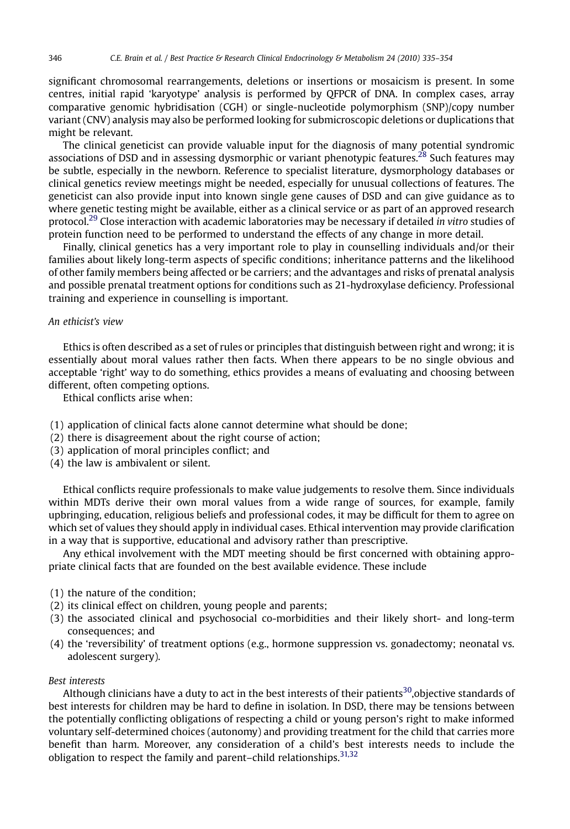significant chromosomal rearrangements, deletions or insertions or mosaicism is present. In some centres, initial rapid 'karyotype' analysis is performed by QFPCR of DNA. In complex cases, array comparative genomic hybridisation (CGH) or single-nucleotide polymorphism (SNP)/copy number variant (CNV) analysis may also be performed looking for submicroscopic deletions or duplications that might be relevant.

The clinical geneticist can provide valuable input for the diagnosis of many potential syndromic associations of DSD and in assessing dysmorphic or variant phenotypic features.<sup>28</sup> Such features may be subtle, especially in the newborn. Reference to specialist literature, dysmorphology databases or clinical genetics review meetings might be needed, especially for unusual collections of features. The geneticist can also provide input into known single gene causes of DSD and can give guidance as to where genetic testing might be available, either as a clinical service or as part of an approved research protocol.<sup>29</sup> Close interaction with academic laboratories may be necessary if detailed in vitro studies of protein function need to be performed to understand the effects of any change in more detail.

Finally, clinical genetics has a very important role to play in counselling individuals and/or their families about likely long-term aspects of specific conditions; inheritance patterns and the likelihood of other family members being affected or be carriers; and the advantages and risks of prenatal analysis and possible prenatal treatment options for conditions such as 21-hydroxylase deficiency. Professional training and experience in counselling is important.

### An ethicist's view

Ethics is often described as a set of rules or principles that distinguish between right and wrong; it is essentially about moral values rather then facts. When there appears to be no single obvious and acceptable 'right' way to do something, ethics provides a means of evaluating and choosing between different, often competing options.

Ethical conflicts arise when:

- (1) application of clinical facts alone cannot determine what should be done;
- (2) there is disagreement about the right course of action;
- (3) application of moral principles conflict; and
- (4) the law is ambivalent or silent.

Ethical conflicts require professionals to make value judgements to resolve them. Since individuals within MDTs derive their own moral values from a wide range of sources, for example, family upbringing, education, religious beliefs and professional codes, it may be difficult for them to agree on which set of values they should apply in individual cases. Ethical intervention may provide clarification in a way that is supportive, educational and advisory rather than prescriptive.

Any ethical involvement with the MDT meeting should be first concerned with obtaining appropriate clinical facts that are founded on the best available evidence. These include

- (1) the nature of the condition;
- (2) its clinical effect on children, young people and parents;
- (3) the associated clinical and psychosocial co-morbidities and their likely short- and long-term consequences; and
- (4) the 'reversibility' of treatment options (e.g., hormone suppression vs. gonadectomy; neonatal vs. adolescent surgery).

#### Best interests

Although clinicians have a duty to act in the best interests of their patients<sup>[30](#page-19-0)</sup>, objective standards of best interests for children may be hard to define in isolation. In DSD, there may be tensions between the potentially conflicting obligations of respecting a child or young person's right to make informed voluntary self-determined choices (autonomy) and providing treatment for the child that carries more benefit than harm. Moreover, any consideration of a child's best interests needs to include the obligation to respect the family and parent-child relationships.  $31,32$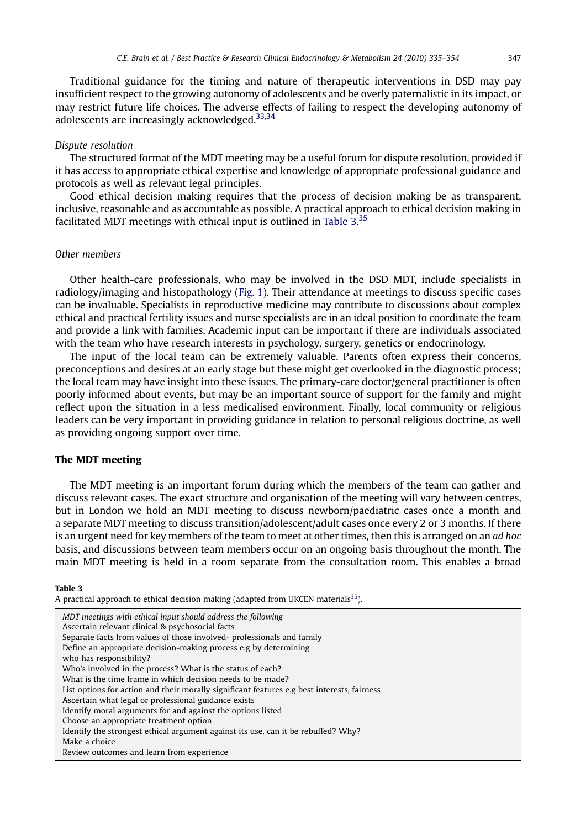Traditional guidance for the timing and nature of therapeutic interventions in DSD may pay insufficient respect to the growing autonomy of adolescents and be overly paternalistic in its impact, or may restrict future life choices. The adverse effects of failing to respect the developing autonomy of adolescents are increasingly acknowledged.<sup>33,34</sup>

#### Dispute resolution

The structured format of the MDT meeting may be a useful forum for dispute resolution, provided if it has access to appropriate ethical expertise and knowledge of appropriate professional guidance and protocols as well as relevant legal principles.

Good ethical decision making requires that the process of decision making be as transparent, inclusive, reasonable and as accountable as possible. A practical approach to ethical decision making in facilitated MDT meetings with ethical input is outlined in Table 3.<sup>[35](#page-19-0)</sup>

#### Other members

Other health-care professionals, who may be involved in the DSD MDT, include specialists in radiology/imaging and histopathology ([Fig. 1\)](#page-2-0). Their attendance at meetings to discuss specific cases can be invaluable. Specialists in reproductive medicine may contribute to discussions about complex ethical and practical fertility issues and nurse specialists are in an ideal position to coordinate the team and provide a link with families. Academic input can be important if there are individuals associated with the team who have research interests in psychology, surgery, genetics or endocrinology.

The input of the local team can be extremely valuable. Parents often express their concerns, preconceptions and desires at an early stage but these might get overlooked in the diagnostic process; the local team may have insight into these issues. The primary-care doctor/general practitioner is often poorly informed about events, but may be an important source of support for the family and might reflect upon the situation in a less medicalised environment. Finally, local community or religious leaders can be very important in providing guidance in relation to personal religious doctrine, as well as providing ongoing support over time.

#### The MDT meeting

The MDT meeting is an important forum during which the members of the team can gather and discuss relevant cases. The exact structure and organisation of the meeting will vary between centres, but in London we hold an MDT meeting to discuss newborn/paediatric cases once a month and a separate MDT meeting to discuss transition/adolescent/adult cases once every 2 or 3 months. If there is an urgent need for key members of the team to meet at other times, then this is arranged on an *ad hoc* basis, and discussions between team members occur on an ongoing basis throughout the month. The main MDT meeting is held in a room separate from the consultation room. This enables a broad

#### Table 3

A practical approach to ethical decision making (adapted from UKCEN materials $^{35}$ ).

| MDT meetings with ethical input should address the following                                |  |  |  |  |
|---------------------------------------------------------------------------------------------|--|--|--|--|
| Ascertain relevant clinical & psychosocial facts                                            |  |  |  |  |
| Separate facts from values of those involved- professionals and family                      |  |  |  |  |
| Define an appropriate decision-making process e.g by determining                            |  |  |  |  |
| who has responsibility?                                                                     |  |  |  |  |
| Who's involved in the process? What is the status of each?                                  |  |  |  |  |
| What is the time frame in which decision needs to be made?                                  |  |  |  |  |
| List options for action and their morally significant features e.g best interests, fairness |  |  |  |  |
| Ascertain what legal or professional guidance exists                                        |  |  |  |  |
| Identify moral arguments for and against the options listed                                 |  |  |  |  |
| Choose an appropriate treatment option                                                      |  |  |  |  |
| Identify the strongest ethical argument against its use, can it be rebuffed? Why?           |  |  |  |  |
| Make a choice                                                                               |  |  |  |  |
| Review outcomes and learn from experience                                                   |  |  |  |  |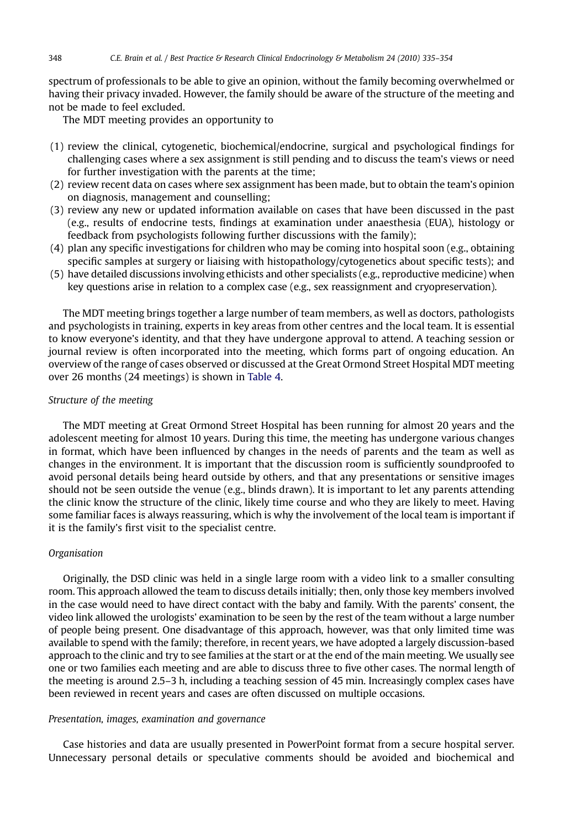spectrum of professionals to be able to give an opinion, without the family becoming overwhelmed or having their privacy invaded. However, the family should be aware of the structure of the meeting and not be made to feel excluded.

The MDT meeting provides an opportunity to

- (1) review the clinical, cytogenetic, biochemical/endocrine, surgical and psychological findings for challenging cases where a sex assignment is still pending and to discuss the team's views or need for further investigation with the parents at the time;
- (2) review recent data on cases where sex assignment has been made, but to obtain the team's opinion on diagnosis, management and counselling;
- (3) review any new or updated information available on cases that have been discussed in the past (e.g., results of endocrine tests, findings at examination under anaesthesia (EUA), histology or feedback from psychologists following further discussions with the family);
- (4) plan any specific investigations for children who may be coming into hospital soon (e.g., obtaining specific samples at surgery or liaising with histopathology/cytogenetics about specific tests); and
- (5) have detailed discussions involving ethicists and other specialists (e.g., reproductive medicine) when key questions arise in relation to a complex case (e.g., sex reassignment and cryopreservation).

The MDT meeting brings together a large number of team members, as well as doctors, pathologists and psychologists in training, experts in key areas from other centres and the local team. It is essential to know everyone's identity, and that they have undergone approval to attend. A teaching session or journal review is often incorporated into the meeting, which forms part of ongoing education. An overview of the range of cases observed or discussed at the Great Ormond Street Hospital MDT meeting over 26 months (24 meetings) is shown in [Table 4](#page-14-0).

#### Structure of the meeting

The MDT meeting at Great Ormond Street Hospital has been running for almost 20 years and the adolescent meeting for almost 10 years. During this time, the meeting has undergone various changes in format, which have been influenced by changes in the needs of parents and the team as well as changes in the environment. It is important that the discussion room is sufficiently soundproofed to avoid personal details being heard outside by others, and that any presentations or sensitive images should not be seen outside the venue (e.g., blinds drawn). It is important to let any parents attending the clinic know the structure of the clinic, likely time course and who they are likely to meet. Having some familiar faces is always reassuring, which is why the involvement of the local team is important if it is the family's first visit to the specialist centre.

#### Organisation

Originally, the DSD clinic was held in a single large room with a video link to a smaller consulting room. This approach allowed the team to discuss details initially; then, only those key members involved in the case would need to have direct contact with the baby and family. With the parents' consent, the video link allowed the urologists' examination to be seen by the rest of the team without a large number of people being present. One disadvantage of this approach, however, was that only limited time was available to spend with the family; therefore, in recent years, we have adopted a largely discussion-based approach to the clinic and try to see families at the start or at the end of the main meeting. We usually see one or two families each meeting and are able to discuss three to five other cases. The normal length of the meeting is around 2.5–3 h, including a teaching session of 45 min. Increasingly complex cases have been reviewed in recent years and cases are often discussed on multiple occasions.

#### Presentation, images, examination and governance

Case histories and data are usually presented in PowerPoint format from a secure hospital server. Unnecessary personal details or speculative comments should be avoided and biochemical and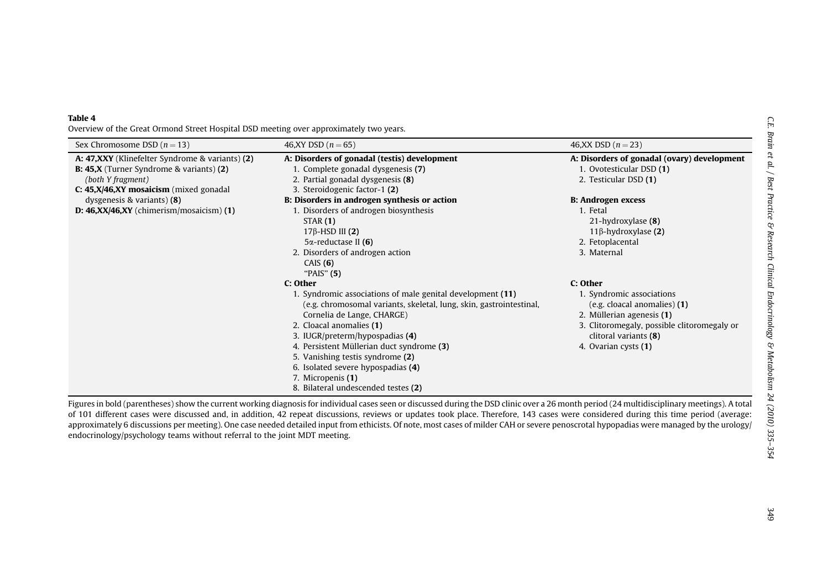#### <span id="page-14-0"></span>Table 4

Overview of the Great Ormond Street Hospital DSD meeting over approximately two years.

| Sex Chromosome DSD $(n = 13)$                                                                                                                                        | 46,XY DSD $(n = 65)$                                                                                                                                                                                                                                                                                                                                                                                                          | 46, XX DSD $(n = 23)$                                                                                                                                                                               |
|----------------------------------------------------------------------------------------------------------------------------------------------------------------------|-------------------------------------------------------------------------------------------------------------------------------------------------------------------------------------------------------------------------------------------------------------------------------------------------------------------------------------------------------------------------------------------------------------------------------|-----------------------------------------------------------------------------------------------------------------------------------------------------------------------------------------------------|
| A: 47, XXY (Klinefelter Syndrome & variants) (2)<br><b>B: 45,X</b> (Turner Syndrome & variants) (2)<br>(both Y fragment)<br>C: 45, X/46, XY mosaicism (mixed gonadal | A: Disorders of gonadal (testis) development<br>1. Complete gonadal dysgenesis (7)<br>2. Partial gonadal dysgenesis (8)<br>3. Steroidogenic factor-1 (2)                                                                                                                                                                                                                                                                      | A: Disorders of gonadal (ovary) development<br>1. Ovotesticular DSD (1)<br>2. Testicular DSD (1)                                                                                                    |
| dysgenesis & variants) $(8)$<br>D: $46, XX/46, XY$ (chimerism/mosaicism) (1)                                                                                         | B: Disorders in androgen synthesis or action<br>1. Disorders of androgen biosynthesis<br>STAR(1)<br>$17\beta$ -HSD III (2)<br>$5\alpha$ -reductase II (6)<br>2. Disorders of androgen action<br>CAIS $(6)$<br>"PAIS" (5)                                                                                                                                                                                                      | <b>B: Androgen excess</b><br>1. Fetal<br>21-hydroxylase (8)<br>$11\beta$ -hydroxylase (2)<br>2. Fetoplacental<br>3. Maternal                                                                        |
|                                                                                                                                                                      | C: Other<br>1. Syndromic associations of male genital development (11)<br>(e.g. chromosomal variants, skeletal, lung, skin, gastrointestinal,<br>Cornelia de Lange, CHARGE)<br>2. Cloacal anomalies (1)<br>3. IUGR/preterm/hypospadias (4)<br>4. Persistent Müllerian duct syndrome (3)<br>5. Vanishing testis syndrome (2)<br>6. Isolated severe hypospadias (4)<br>7. Micropenis (1)<br>8. Bilateral undescended testes (2) | C: Other<br>1. Syndromic associations<br>$(e.g. closed anomalies)$ (1)<br>2. Müllerian agenesis (1)<br>3. Clitoromegaly, possible clitoromegaly or<br>clitoral variants (8)<br>4. Ovarian cysts (1) |

Figures in bold (parentheses) show the current working diagnosis for individual cases seen or discussed during the DSD clinic over a 26 month period (24 multidisciplinary meetings). A total of 101 different cases were discussed and, in addition, 42 repeat discussions, reviews or updates took place. Therefore, 143 cases were considered during this time period (average: approximately 6 discussions per meeting). One case needed detailed input from ethicists. Of note, most cases of milder CAH or severe penoscrotal hypopadias were managed by the urology/ endocrinology/psychology teams without referral to the joint MDT meeting.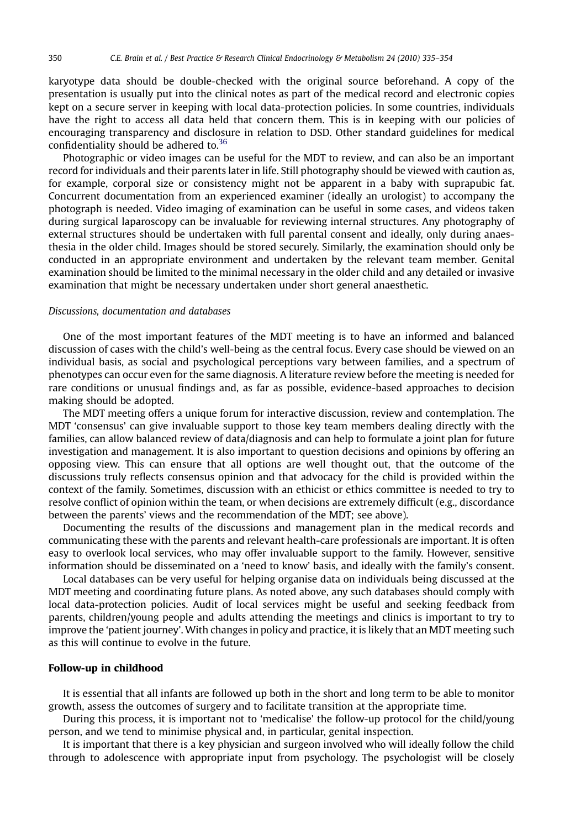karyotype data should be double-checked with the original source beforehand. A copy of the presentation is usually put into the clinical notes as part of the medical record and electronic copies kept on a secure server in keeping with local data-protection policies. In some countries, individuals have the right to access all data held that concern them. This is in keeping with our policies of encouraging transparency and disclosure in relation to DSD. Other standard guidelines for medical confidentiality should be adhered to. $36$ 

Photographic or video images can be useful for the MDT to review, and can also be an important record for individuals and their parents later in life. Still photography should be viewed with caution as, for example, corporal size or consistency might not be apparent in a baby with suprapubic fat. Concurrent documentation from an experienced examiner (ideally an urologist) to accompany the photograph is needed. Video imaging of examination can be useful in some cases, and videos taken during surgical laparoscopy can be invaluable for reviewing internal structures. Any photography of external structures should be undertaken with full parental consent and ideally, only during anaesthesia in the older child. Images should be stored securely. Similarly, the examination should only be conducted in an appropriate environment and undertaken by the relevant team member. Genital examination should be limited to the minimal necessary in the older child and any detailed or invasive examination that might be necessary undertaken under short general anaesthetic.

#### Discussions, documentation and databases

One of the most important features of the MDT meeting is to have an informed and balanced discussion of cases with the child's well-being as the central focus. Every case should be viewed on an individual basis, as social and psychological perceptions vary between families, and a spectrum of phenotypes can occur even for the same diagnosis. A literature review before the meeting is needed for rare conditions or unusual findings and, as far as possible, evidence-based approaches to decision making should be adopted.

The MDT meeting offers a unique forum for interactive discussion, review and contemplation. The MDT 'consensus' can give invaluable support to those key team members dealing directly with the families, can allow balanced review of data/diagnosis and can help to formulate a joint plan for future investigation and management. It is also important to question decisions and opinions by offering an opposing view. This can ensure that all options are well thought out, that the outcome of the discussions truly reflects consensus opinion and that advocacy for the child is provided within the context of the family. Sometimes, discussion with an ethicist or ethics committee is needed to try to resolve conflict of opinion within the team, or when decisions are extremely difficult (e.g., discordance between the parents' views and the recommendation of the MDT; see above).

Documenting the results of the discussions and management plan in the medical records and communicating these with the parents and relevant health-care professionals are important. It is often easy to overlook local services, who may offer invaluable support to the family. However, sensitive information should be disseminated on a 'need to know' basis, and ideally with the family's consent.

Local databases can be very useful for helping organise data on individuals being discussed at the MDT meeting and coordinating future plans. As noted above, any such databases should comply with local data-protection policies. Audit of local services might be useful and seeking feedback from parents, children/young people and adults attending the meetings and clinics is important to try to improve the 'patient journey'. With changes in policy and practice, it is likely that an MDT meeting such as this will continue to evolve in the future.

#### Follow-up in childhood

It is essential that all infants are followed up both in the short and long term to be able to monitor growth, assess the outcomes of surgery and to facilitate transition at the appropriate time.

During this process, it is important not to 'medicalise' the follow-up protocol for the child/young person, and we tend to minimise physical and, in particular, genital inspection.

It is important that there is a key physician and surgeon involved who will ideally follow the child through to adolescence with appropriate input from psychology. The psychologist will be closely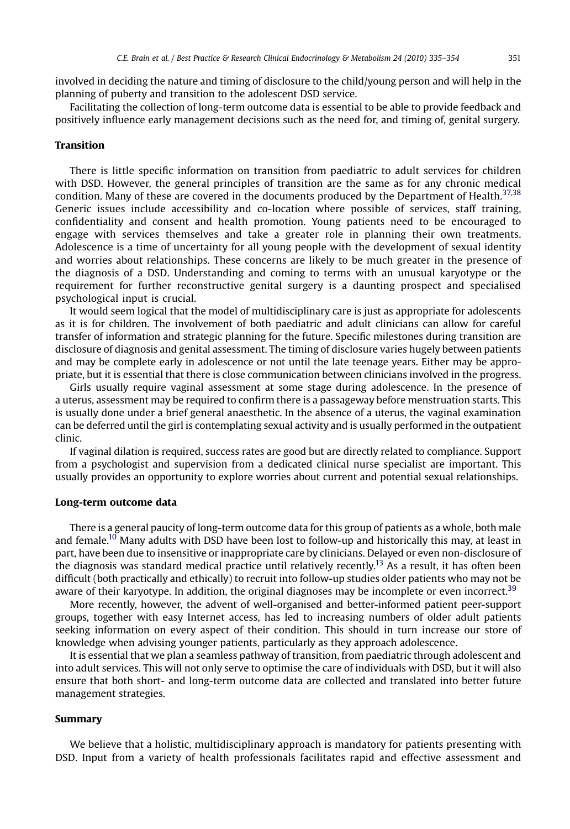involved in deciding the nature and timing of disclosure to the child/young person and will help in the planning of puberty and transition to the adolescent DSD service.

Facilitating the collection of long-term outcome data is essential to be able to provide feedback and positively influence early management decisions such as the need for, and timing of, genital surgery.

## Transition

There is little specific information on transition from paediatric to adult services for children with DSD. However, the general principles of transition are the same as for any chronic medical condition. Many of these are covered in the documents produced by the Department of Health. $37,38$ Generic issues include accessibility and co-location where possible of services, staff training, confidentiality and consent and health promotion. Young patients need to be encouraged to engage with services themselves and take a greater role in planning their own treatments. Adolescence is a time of uncertainty for all young people with the development of sexual identity and worries about relationships. These concerns are likely to be much greater in the presence of the diagnosis of a DSD. Understanding and coming to terms with an unusual karyotype or the requirement for further reconstructive genital surgery is a daunting prospect and specialised psychological input is crucial.

It would seem logical that the model of multidisciplinary care is just as appropriate for adolescents as it is for children. The involvement of both paediatric and adult clinicians can allow for careful transfer of information and strategic planning for the future. Specific milestones during transition are disclosure of diagnosis and genital assessment. The timing of disclosure varies hugely between patients and may be complete early in adolescence or not until the late teenage years. Either may be appropriate, but it is essential that there is close communication between clinicians involved in the progress.

Girls usually require vaginal assessment at some stage during adolescence. In the presence of a uterus, assessment may be required to confirm there is a passageway before menstruation starts. This is usually done under a brief general anaesthetic. In the absence of a uterus, the vaginal examination can be deferred until the girl is contemplating sexual activity and is usually performed in the outpatient clinic.

If vaginal dilation is required, success rates are good but are directly related to compliance. Support from a psychologist and supervision from a dedicated clinical nurse specialist are important. This usually provides an opportunity to explore worries about current and potential sexual relationships.

#### Long-term outcome data

There is a general paucity of long-term outcome data for this group of patients as a whole, both male and female.<sup>10</sup> Many adults with DSD have been lost to follow-up and historically this may, at least in part, have been due to insensitive or inappropriate care by clinicians. Delayed or even non-disclosure of the diagnosis was standard medical practice until relatively recently.<sup>[13](#page-18-0)</sup> As a result, it has often been difficult (both practically and ethically) to recruit into follow-up studies older patients who may not be aware of their karyotype. In addition, the original diagnoses may be incomplete or even incorrect.<sup>[39](#page-19-0)</sup>

More recently, however, the advent of well-organised and better-informed patient peer-support groups, together with easy Internet access, has led to increasing numbers of older adult patients seeking information on every aspect of their condition. This should in turn increase our store of knowledge when advising younger patients, particularly as they approach adolescence.

It is essential that we plan a seamless pathway of transition, from paediatric through adolescent and into adult services. This will not only serve to optimise the care of individuals with DSD, but it will also ensure that both short- and long-term outcome data are collected and translated into better future management strategies.

#### Summary

We believe that a holistic, multidisciplinary approach is mandatory for patients presenting with DSD. Input from a variety of health professionals facilitates rapid and effective assessment and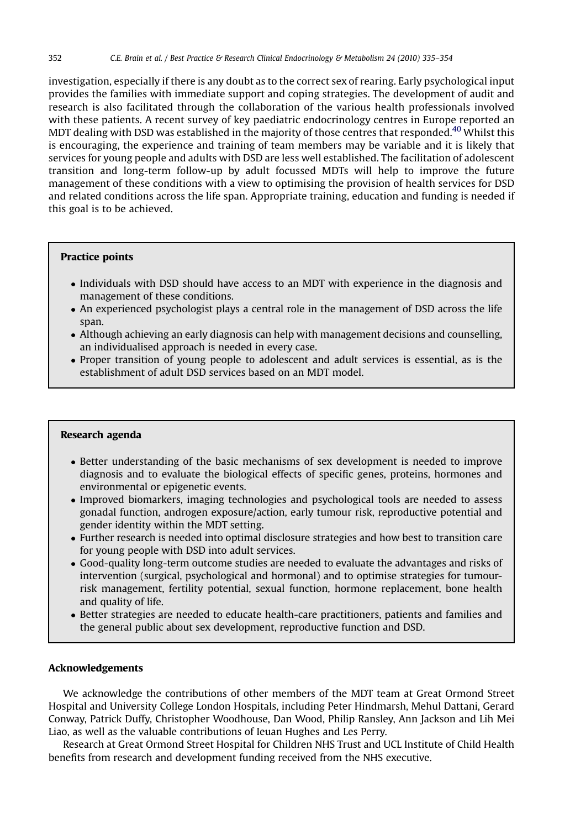investigation, especially if there is any doubt as to the correct sex of rearing. Early psychological input provides the families with immediate support and coping strategies. The development of audit and research is also facilitated through the collaboration of the various health professionals involved with these patients. A recent survey of key paediatric endocrinology centres in Europe reported an MDT dealing with DSD was established in the majority of those centres that responded.<sup>[40](#page-19-0)</sup> Whilst this is encouraging, the experience and training of team members may be variable and it is likely that services for young people and adults with DSD are less well established. The facilitation of adolescent transition and long-term follow-up by adult focussed MDTs will help to improve the future management of these conditions with a view to optimising the provision of health services for DSD and related conditions across the life span. Appropriate training, education and funding is needed if this goal is to be achieved.

#### Practice points

- Individuals with DSD should have access to an MDT with experience in the diagnosis and management of these conditions.
- An experienced psychologist plays a central role in the management of DSD across the life span.
- Although achieving an early diagnosis can help with management decisions and counselling, an individualised approach is needed in every case.
- Proper transition of young people to adolescent and adult services is essential, as is the establishment of adult DSD services based on an MDT model.

#### Research agenda

- Better understanding of the basic mechanisms of sex development is needed to improve diagnosis and to evaluate the biological effects of specific genes, proteins, hormones and environmental or epigenetic events.
- Improved biomarkers, imaging technologies and psychological tools are needed to assess gonadal function, androgen exposure/action, early tumour risk, reproductive potential and gender identity within the MDT setting.
- Further research is needed into optimal disclosure strategies and how best to transition care for young people with DSD into adult services.
- Good-quality long-term outcome studies are needed to evaluate the advantages and risks of intervention (surgical, psychological and hormonal) and to optimise strategies for tumourrisk management, fertility potential, sexual function, hormone replacement, bone health and quality of life.
- Better strategies are needed to educate health-care practitioners, patients and families and the general public about sex development, reproductive function and DSD.

#### Acknowledgements

We acknowledge the contributions of other members of the MDT team at Great Ormond Street Hospital and University College London Hospitals, including Peter Hindmarsh, Mehul Dattani, Gerard Conway, Patrick Duffy, Christopher Woodhouse, Dan Wood, Philip Ransley, Ann Jackson and Lih Mei Liao, as well as the valuable contributions of Ieuan Hughes and Les Perry.

Research at Great Ormond Street Hospital for Children NHS Trust and UCL Institute of Child Health benefits from research and development funding received from the NHS executive.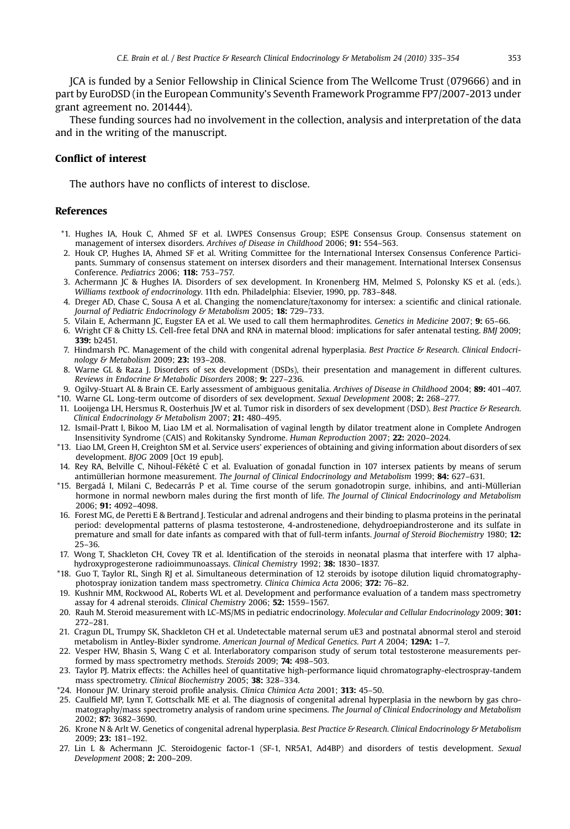<span id="page-18-0"></span>JCA is funded by a Senior Fellowship in Clinical Science from The Wellcome Trust (079666) and in part by EuroDSD (in the European Community's Seventh Framework Programme FP7/2007-2013 under grant agreement no. 201444).

These funding sources had no involvement in the collection, analysis and interpretation of the data and in the writing of the manuscript.

# Conflict of interest

The authors have no conflicts of interest to disclose.

# References

- \*1. Hughes IA, Houk C, Ahmed SF et al. LWPES Consensus Group; ESPE Consensus Group. Consensus statement on management of intersex disorders. Archives of Disease in Childhood 2006; 91: 554–563.
- 2. Houk CP, Hughes IA, Ahmed SF et al. Writing Committee for the International Intersex Consensus Conference Participants. Summary of consensus statement on intersex disorders and their management. International Intersex Consensus Conference. Pediatrics 2006; 118: 753–757.
- 3. Achermann JC & Hughes IA. Disorders of sex development. In Kronenberg HM, Melmed S, Polonsky KS et al. (eds.). Williams textbook of endocrinology. 11th edn. Philadelphia: Elsevier, 1990, pp. 783–848.
- 4. Dreger AD, Chase C, Sousa A et al. Changing the nomenclature/taxonomy for intersex: a scientific and clinical rationale. Journal of Pediatric Endocrinology & Metabolism 2005; 18: 729–733.
- 5. Vilain E, Achermann JC, Eugster EA et al. We used to call them hermaphrodites. Genetics in Medicine 2007; 9: 65-66.
- 6. Wright CF & Chitty LS. Cell-free fetal DNA and RNA in maternal blood: implications for safer antenatal testing. BMJ 2009; 339: b<sub>2451</sub>.
- 7. Hindmarsh PC. Management of the child with congenital adrenal hyperplasia. Best Practice & Research. Clinical Endocrinology & Metabolism 2009; 23: 193–208.
- 8. Warne GL & Raza J. Disorders of sex development (DSDs), their presentation and management in different cultures. Reviews in Endocrine & Metabolic Disorders 2008; 9: 227–236.
- 9. Ogilvy-Stuart AL & Brain CE. Early assessment of ambiguous genitalia. Archives of Disease in Childhood 2004; 89: 401–407.
- \*10. Warne GL. Long-term outcome of disorders of sex development. Sexual Development 2008; 2: 268–277.
- 11. Looijenga LH, Hersmus R, Oosterhuis JW et al. Tumor risk in disorders of sex development (DSD). Best Practice & Research. Clinical Endocrinology & Metabolism 2007: 21: 480-495.
- 12. Ismail-Pratt I, Bikoo M, Liao LM et al. Normalisation of vaginal length by dilator treatment alone in Complete Androgen Insensitivity Syndrome (CAIS) and Rokitansky Syndrome. Human Reproduction 2007; 22: 2020–2024.
- \*13. Liao LM, Green H, Creighton SM et al. Service users' experiences of obtaining and giving information about disorders of sex development. BJOG 2009 [Oct 19 epub].
- 14. Rey RA, Belville C, Nihoul-Fékété C et al. Evaluation of gonadal function in 107 intersex patients by means of serum antimullerian hormone measurement. The Journal of Clinical Endocrinology and Metabolism 1999; 84: 627-631.
- \*15. Bergadá I, Milani C, Bedecarrás P et al. Time course of the serum gonadotropin surge, inhibins, and anti-Müllerian hormone in normal newborn males during the first month of life. The Journal of Clinical Endocrinology and Metabolism 2006; 91: 4092–4098.
- 16. Forest MG, de Peretti E & Bertrand J. Testicular and adrenal androgens and their binding to plasma proteins in the perinatal period: developmental patterns of plasma testosterone, 4-androstenedione, dehydroepiandrosterone and its sulfate in premature and small for date infants as compared with that of full-term infants. Journal of Steroid Biochemistry 1980; 12: 25–36.
- 17. Wong T, Shackleton CH, Covey TR et al. Identification of the steroids in neonatal plasma that interfere with 17 alphahydroxyprogesterone radioimmunoassays. Clinical Chemistry 1992; 38: 1830–1837.
- \*18. Guo T, Taylor RL, Singh RJ et al. Simultaneous determination of 12 steroids by isotope dilution liquid chromatographyphotospray ionization tandem mass spectrometry. Clinica Chimica Acta 2006; 372: 76–82.
- 19. Kushnir MM, Rockwood AL, Roberts WL et al. Development and performance evaluation of a tandem mass spectrometry assay for 4 adrenal steroids. Clinical Chemistry 2006; 52: 1559–1567.
- 20. Rauh M. Steroid measurement with LC-MS/MS in pediatric endocrinology. Molecular and Cellular Endocrinology 2009; 301: 272–281.
- 21. Cragun DL, Trumpy SK, Shackleton CH et al. Undetectable maternal serum uE3 and postnatal abnormal sterol and steroid metabolism in Antley-Bixler syndrome. American Journal of Medical Genetics. Part A 2004; 129A: 1-7.
- 22. Vesper HW, Bhasin S, Wang C et al. Interlaboratory comparison study of serum total testosterone measurements performed by mass spectrometry methods. Steroids 2009; 74: 498–503.
- 23. Taylor PJ. Matrix effects: the Achilles heel of quantitative high-performance liquid chromatography-electrospray-tandem mass spectrometry. Clinical Biochemistry 2005; 38: 328–334.
- \*24. Honour JW. Urinary steroid profile analysis. Clinica Chimica Acta 2001; 313: 45–50.
- 25. Caulfield MP, Lynn T, Gottschalk ME et al. The diagnosis of congenital adrenal hyperplasia in the newborn by gas chromatography/mass spectrometry analysis of random urine specimens. The Journal of Clinical Endocrinology and Metabolism 2002; 87: 3682–3690.
- 26. Krone N & Arlt W. Genetics of congenital adrenal hyperplasia. Best Practice & Research. Clinical Endocrinology & Metabolism 2009; 23: 181–192.
- 27. Lin L & Achermann JC. Steroidogenic factor-1 (SF-1, NR5A1, Ad4BP) and disorders of testis development. Sexual Development 2008; 2: 200–209.